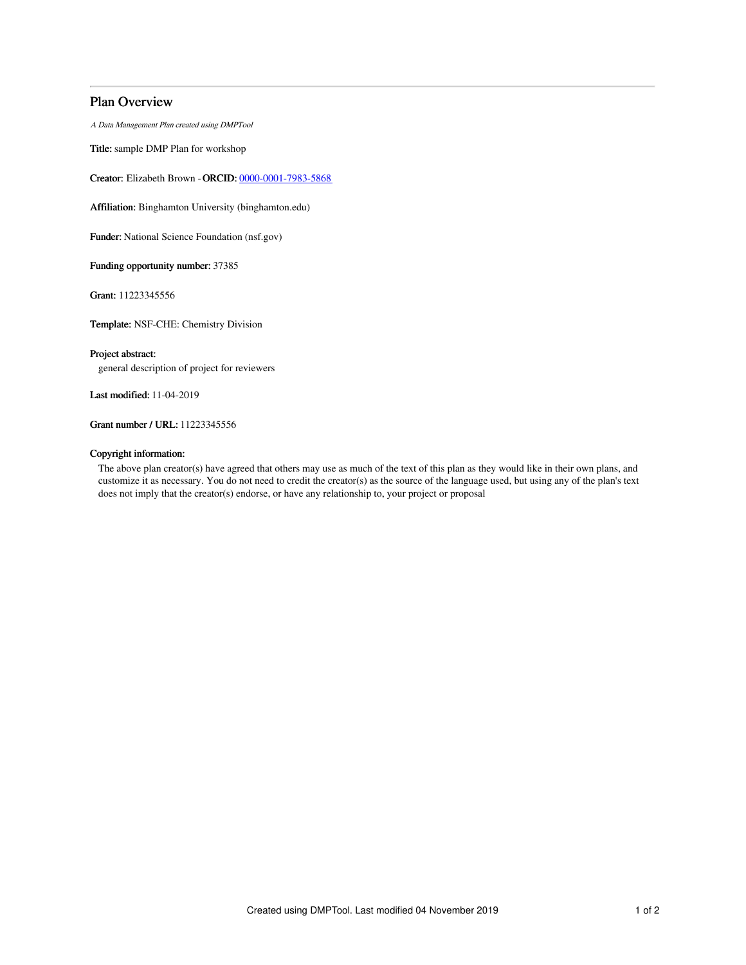# Plan Overview

A Data Management Plan created using DMPTool

Title: sample DMP Plan for workshop

Creator: Elizabeth Brown -ORCID: [0000-0001-7983-5868](https://orcid.org/0000-0001-7983-5868)

Affiliation: Binghamton University (binghamton.edu)

Funder: National Science Foundation (nsf.gov)

Funding opportunity number: 37385

Grant: 11223345556

Template: NSF-CHE: Chemistry Division

## Project abstract:

general description of project for reviewers

Last modified: 11-04-2019

Grant number / URL: 11223345556

## Copyright information:

The above plan creator(s) have agreed that others may use as much of the text of this plan as they would like in their own plans, and customize it as necessary. You do not need to credit the creator(s) as the source of the language used, but using any of the plan's text does not imply that the creator(s) endorse, or have any relationship to, your project or proposal